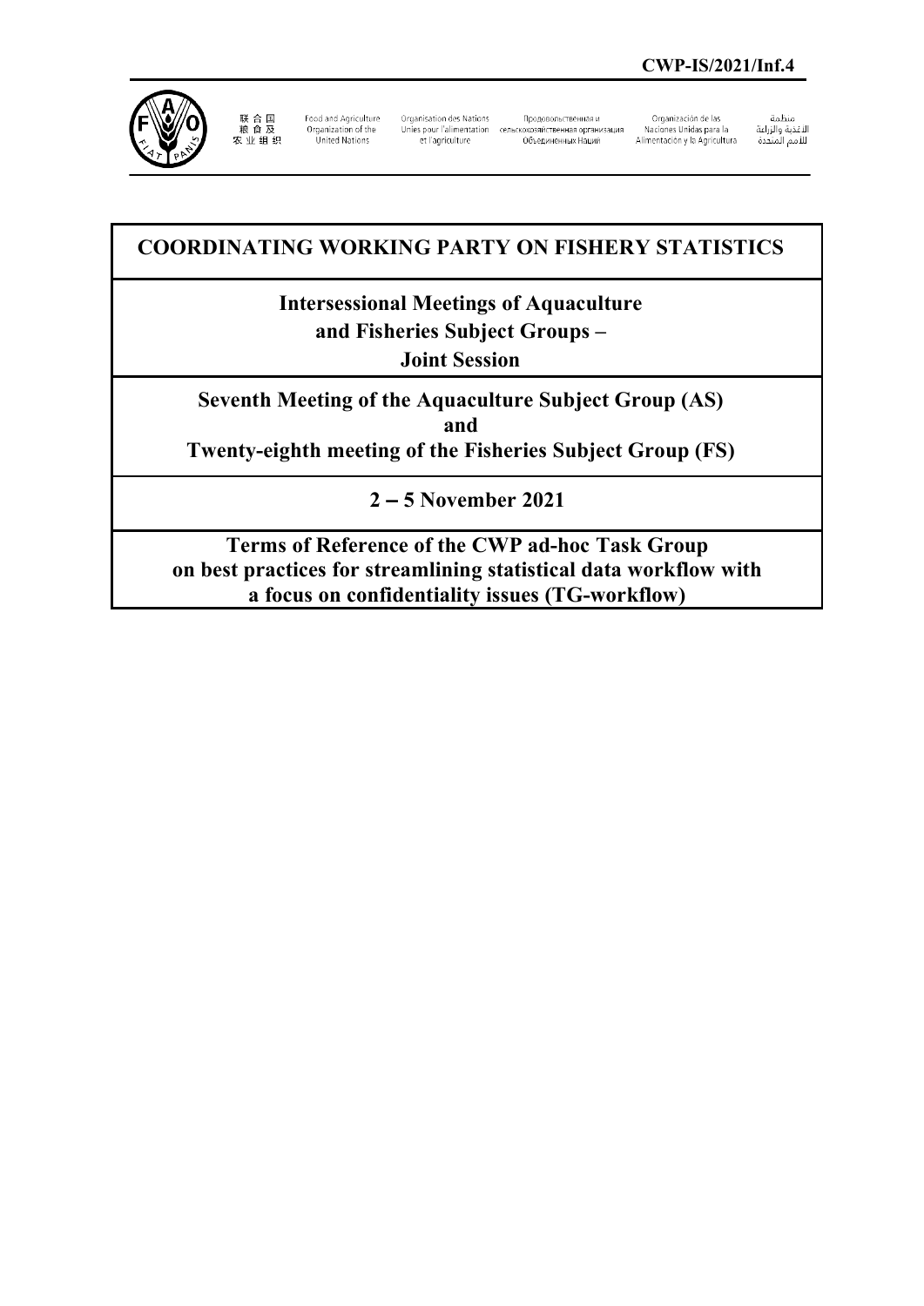

联 合 国<br>粮 食 及 农业组织

Food and Agriculture Organization of the<br>United Nations

Organisation des Nations et l'agriculture

Продовольственная и Unies pour l'alimentation сельскохозяйственная организация 

Organización de las Naciones Unidas para la Alimentación y la Agricultura منظمة

سنيسه<br>الأغذية والزراعة<br>للأمم المتحدة

# **COORDINATING WORKING PARTY ON FISHERY STATISTICS**

# **Intersessional Meetings of Aquaculture**

**and Fisheries Subject Groups –** 

**Joint Session**

**Seventh Meeting of the Aquaculture Subject Group (AS) and Twenty-eighth meeting of the Fisheries Subject Group (FS)**

**2 – 5 November 2021**

**Terms of Reference of the CWP ad-hoc Task Group on best practices for streamlining statistical data workflow with a focus on confidentiality issues (TG-workflow)**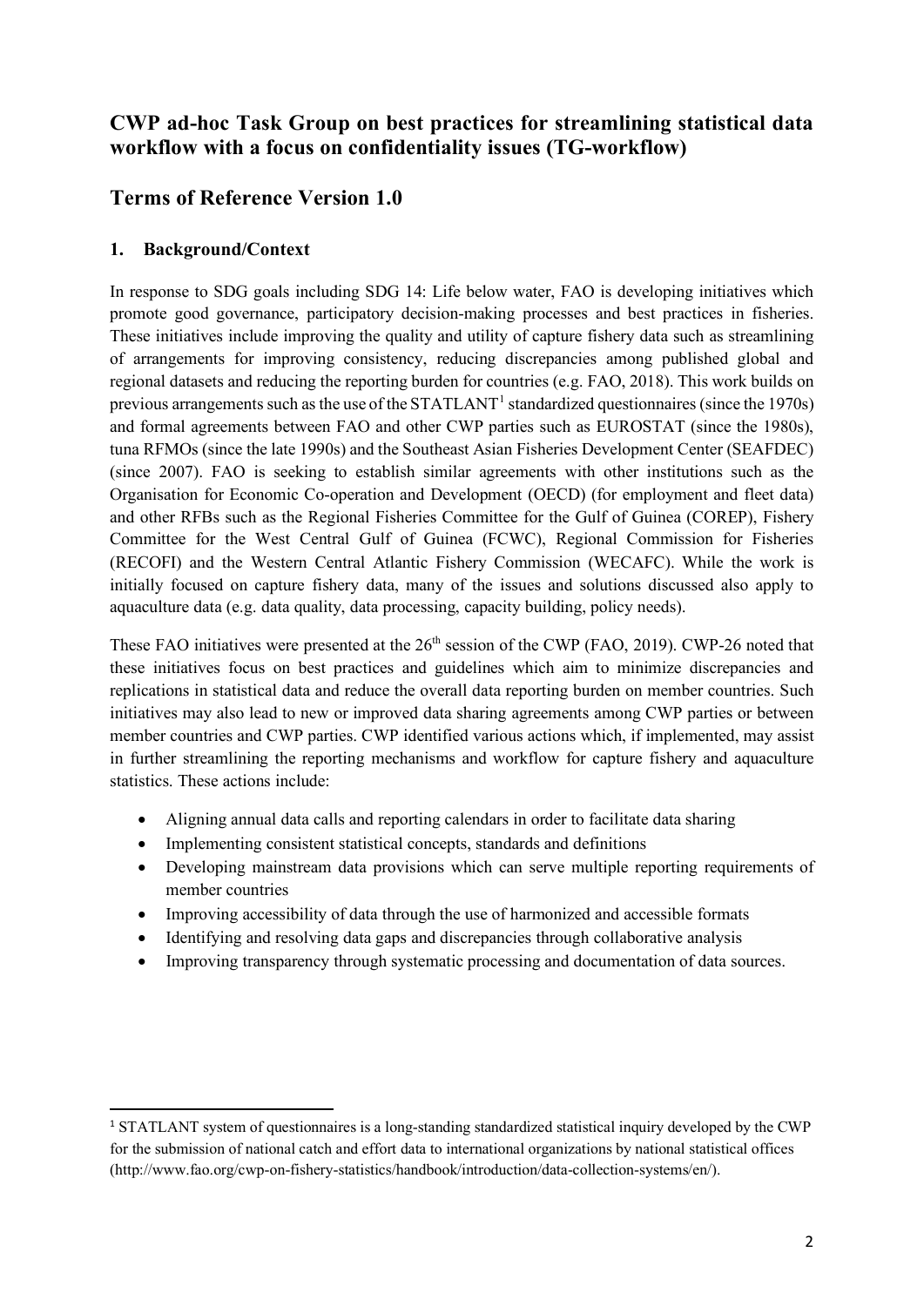# **CWP ad-hoc Task Group on best practices for streamlining statistical data workflow with a focus on confidentiality issues (TG-workflow)**

# **Terms of Reference Version 1.0**

### **1. Background/Context**

In response to SDG goals including SDG 14: Life below water, FAO is developing initiatives which promote good governance, participatory decision-making processes and best practices in fisheries. These initiatives include improving the quality and utility of capture fishery data such as streamlining of arrangements for improving consistency, reducing discrepancies among published global and regional datasets and reducing the reporting burden for countries (e.g. FAO, 2018). This work builds on previous arrangements such as the use of the  $STATLANT<sup>1</sup>$  $STATLANT<sup>1</sup>$  $STATLANT<sup>1</sup>$  standardized questionnaires (since the 1970s) and formal agreements between FAO and other CWP parties such as EUROSTAT (since the 1980s), tuna RFMOs (since the late 1990s) and the Southeast Asian Fisheries Development Center (SEAFDEC) (since 2007). FAO is seeking to establish similar agreements with other institutions such as the Organisation for Economic Co-operation and Development (OECD) (for employment and fleet data) and other RFBs such as the Regional Fisheries Committee for the Gulf of Guinea (COREP), Fishery Committee for the West Central Gulf of Guinea (FCWC), Regional Commission for Fisheries (RECOFI) and the Western Central Atlantic Fishery Commission (WECAFC). While the work is initially focused on capture fishery data, many of the issues and solutions discussed also apply to aquaculture data (e.g. data quality, data processing, capacity building, policy needs).

These FAO initiatives were presented at the 26<sup>th</sup> session of the CWP (FAO, 2019). CWP-26 noted that these initiatives focus on best practices and guidelines which aim to minimize discrepancies and replications in statistical data and reduce the overall data reporting burden on member countries. Such initiatives may also lead to new or improved data sharing agreements among CWP parties or between member countries and CWP parties. CWP identified various actions which, if implemented, may assist in further streamlining the reporting mechanisms and workflow for capture fishery and aquaculture statistics. These actions include:

- Aligning annual data calls and reporting calendars in order to facilitate data sharing
- Implementing consistent statistical concepts, standards and definitions
- Developing mainstream data provisions which can serve multiple reporting requirements of member countries
- Improving accessibility of data through the use of harmonized and accessible formats
- Identifying and resolving data gaps and discrepancies through collaborative analysis
- Improving transparency through systematic processing and documentation of data sources.

<span id="page-1-0"></span><sup>&</sup>lt;sup>1</sup> STATLANT system of questionnaires is a long-standing standardized statistical inquiry developed by the CWP for the submission of national catch and effort data to international organizations by national statistical offices (http://www.fao.org/cwp-on-fishery-statistics/handbook/introduction/data-collection-systems/en/).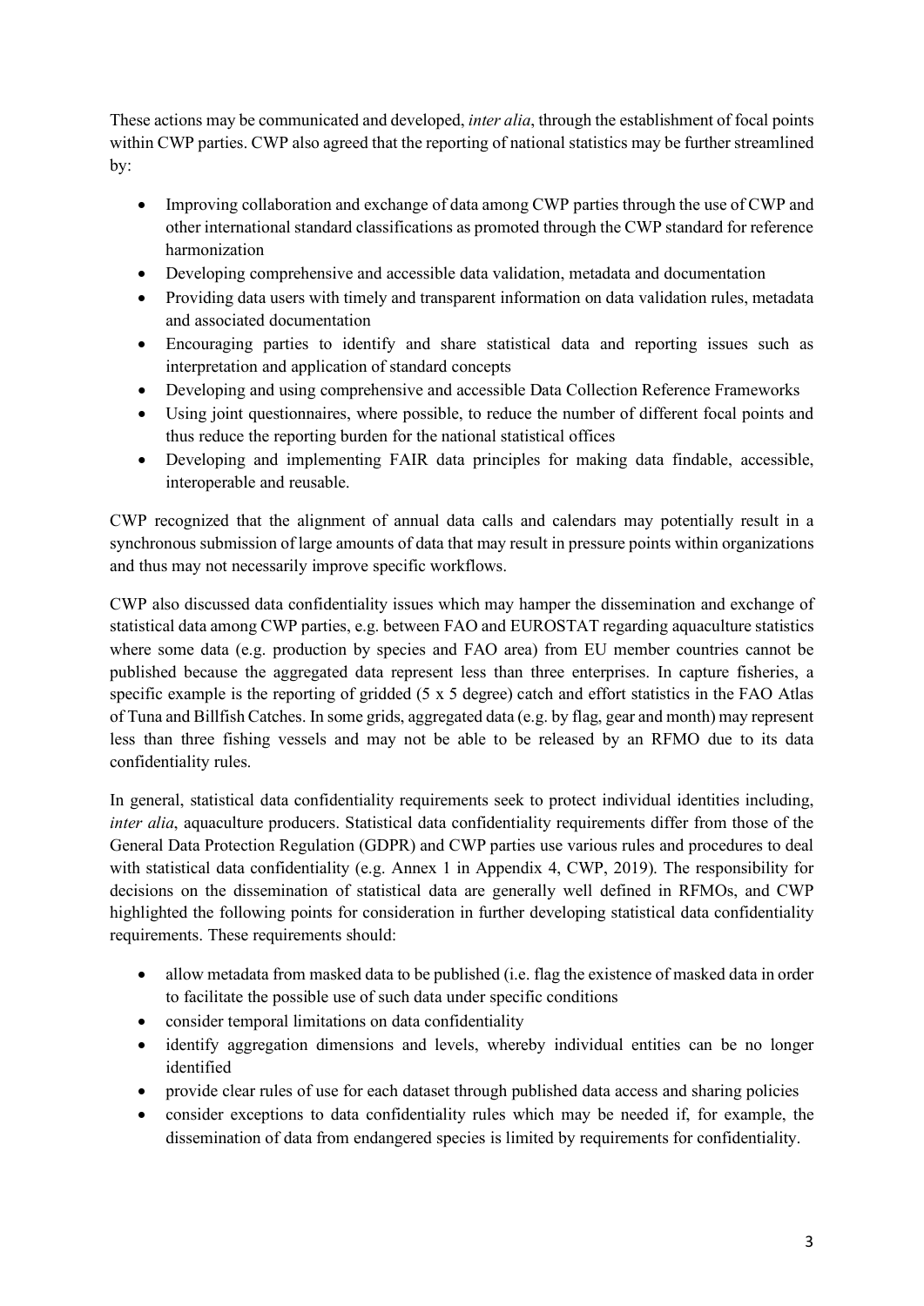These actions may be communicated and developed, *inter alia*, through the establishment of focal points within CWP parties. CWP also agreed that the reporting of national statistics may be further streamlined by:

- Improving collaboration and exchange of data among CWP parties through the use of CWP and other international standard classifications as promoted through the CWP standard for reference harmonization
- Developing comprehensive and accessible data validation, metadata and documentation
- Providing data users with timely and transparent information on data validation rules, metadata and associated documentation
- Encouraging parties to identify and share statistical data and reporting issues such as interpretation and application of standard concepts
- Developing and using comprehensive and accessible Data Collection Reference Frameworks
- Using joint questionnaires, where possible, to reduce the number of different focal points and thus reduce the reporting burden for the national statistical offices
- Developing and implementing FAIR data principles for making data findable, accessible, interoperable and reusable.

CWP recognized that the alignment of annual data calls and calendars may potentially result in a synchronous submission of large amounts of data that may result in pressure points within organizations and thus may not necessarily improve specific workflows.

CWP also discussed data confidentiality issues which may hamper the dissemination and exchange of statistical data among CWP parties, e.g. between FAO and EUROSTAT regarding aquaculture statistics where some data (e.g. production by species and FAO area) from EU member countries cannot be published because the aggregated data represent less than three enterprises. In capture fisheries, a specific example is the reporting of gridded (5 x 5 degree) catch and effort statistics in the FAO Atlas of Tuna and Billfish Catches. In some grids, aggregated data (e.g. by flag, gear and month) may represent less than three fishing vessels and may not be able to be released by an RFMO due to its data confidentiality rules.

In general, statistical data confidentiality requirements seek to protect individual identities including, *inter alia*, aquaculture producers. Statistical data confidentiality requirements differ from those of the General Data Protection Regulation (GDPR) and CWP parties use various rules and procedures to deal with statistical data confidentiality (e.g. Annex 1 in Appendix 4, CWP, 2019). The responsibility for decisions on the dissemination of statistical data are generally well defined in RFMOs, and CWP highlighted the following points for consideration in further developing statistical data confidentiality requirements. These requirements should:

- allow metadata from masked data to be published (i.e. flag the existence of masked data in order to facilitate the possible use of such data under specific conditions
- consider temporal limitations on data confidentiality
- identify aggregation dimensions and levels, whereby individual entities can be no longer identified
- provide clear rules of use for each dataset through published data access and sharing policies
- consider exceptions to data confidentiality rules which may be needed if, for example, the dissemination of data from endangered species is limited by requirements for confidentiality.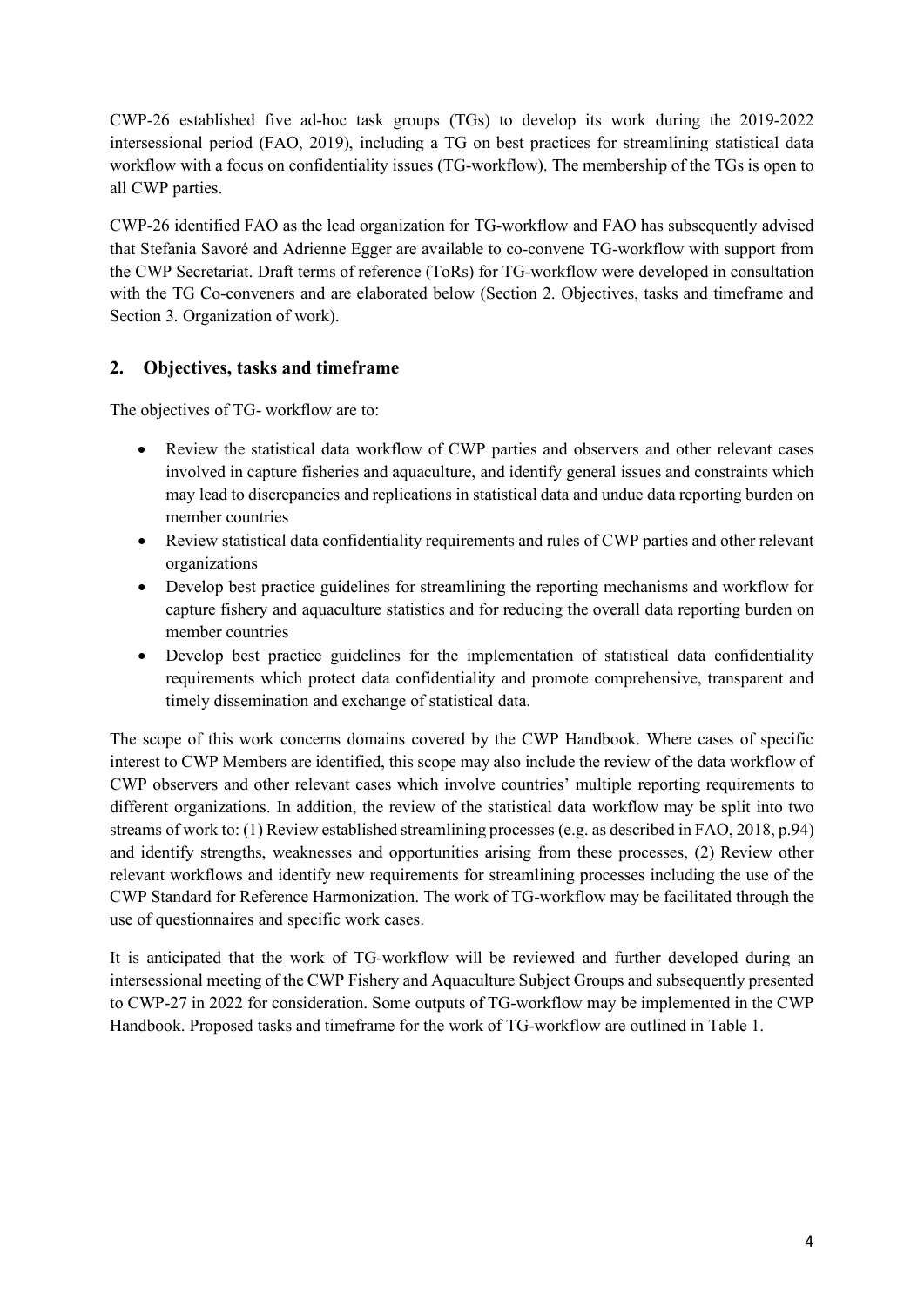CWP-26 established five ad-hoc task groups (TGs) to develop its work during the 2019-2022 intersessional period (FAO, 2019), including a TG on best practices for streamlining statistical data workflow with a focus on confidentiality issues (TG-workflow). The membership of the TGs is open to all CWP parties.

CWP-26 identified FAO as the lead organization for TG-workflow and FAO has subsequently advised that Stefania Savoré and Adrienne Egger are available to co-convene TG-workflow with support from the CWP Secretariat. Draft terms of reference (ToRs) for TG-workflow were developed in consultation with the TG Co-conveners and are elaborated below (Section 2. Objectives, tasks and timeframe and Section 3. Organization of work).

### **2. Objectives, tasks and timeframe**

The objectives of TG- workflow are to:

- Review the statistical data workflow of CWP parties and observers and other relevant cases involved in capture fisheries and aquaculture, and identify general issues and constraints which may lead to discrepancies and replications in statistical data and undue data reporting burden on member countries
- Review statistical data confidentiality requirements and rules of CWP parties and other relevant organizations
- Develop best practice guidelines for streamlining the reporting mechanisms and workflow for capture fishery and aquaculture statistics and for reducing the overall data reporting burden on member countries
- Develop best practice guidelines for the implementation of statistical data confidentiality requirements which protect data confidentiality and promote comprehensive, transparent and timely dissemination and exchange of statistical data.

The scope of this work concerns domains covered by the CWP Handbook. Where cases of specific interest to CWP Members are identified, this scope may also include the review of the data workflow of CWP observers and other relevant cases which involve countries' multiple reporting requirements to different organizations. In addition, the review of the statistical data workflow may be split into two streams of work to: (1) Review established streamlining processes (e.g. as described in FAO, 2018, p.94) and identify strengths, weaknesses and opportunities arising from these processes, (2) Review other relevant workflows and identify new requirements for streamlining processes including the use of the CWP Standard for Reference Harmonization. The work of TG-workflow may be facilitated through the use of questionnaires and specific work cases.

It is anticipated that the work of TG-workflow will be reviewed and further developed during an intersessional meeting of the CWP Fishery and Aquaculture Subject Groups and subsequently presented to CWP-27 in 2022 for consideration. Some outputs of TG-workflow may be implemented in the CWP Handbook. Proposed tasks and timeframe for the work of TG-workflow are outlined in Table 1.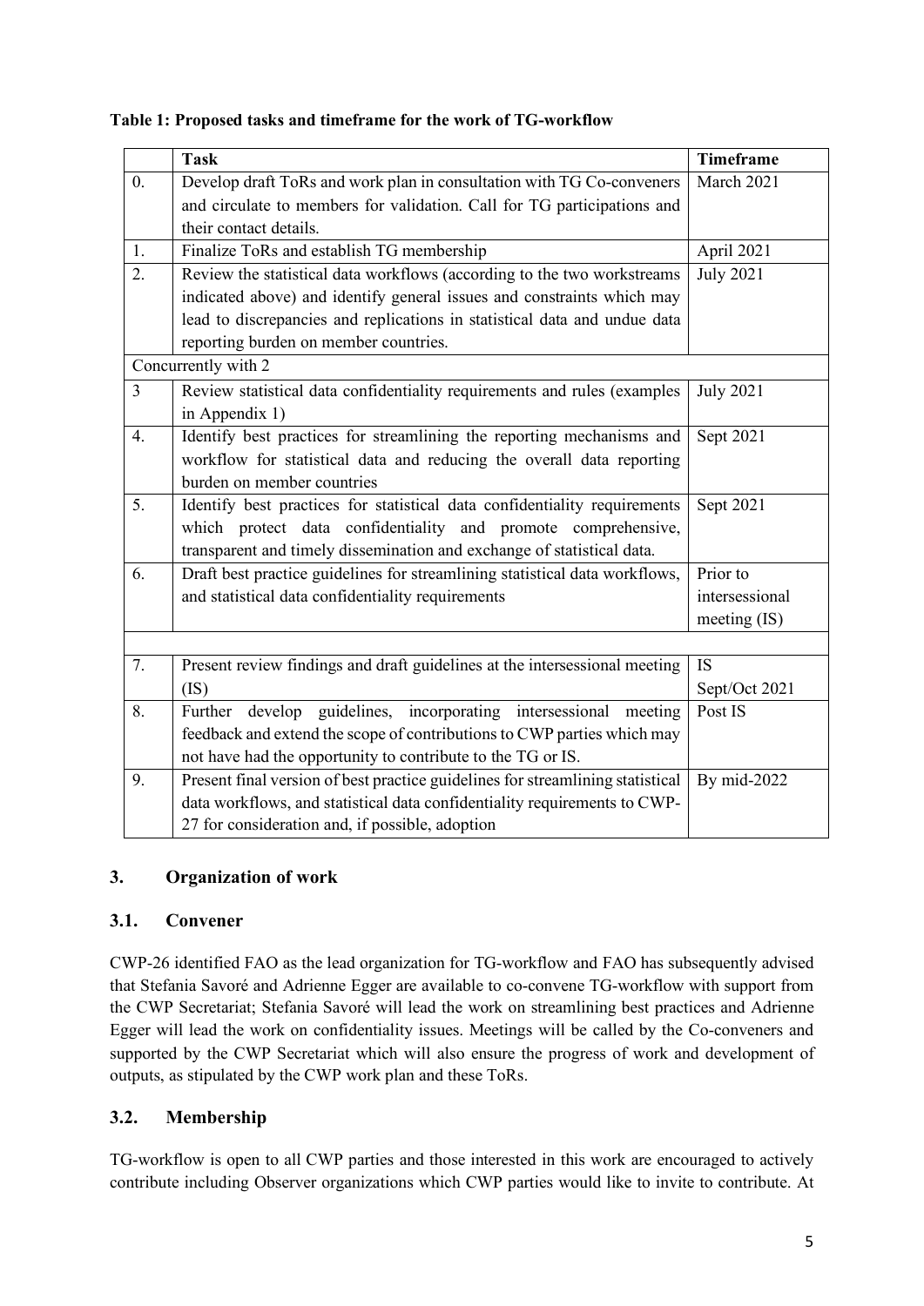|                     | <b>Task</b>                                                                    | <b>Timeframe</b> |
|---------------------|--------------------------------------------------------------------------------|------------------|
| $\overline{0}$ .    | Develop draft ToRs and work plan in consultation with TG Co-conveners          | March 2021       |
|                     | and circulate to members for validation. Call for TG participations and        |                  |
|                     | their contact details.                                                         |                  |
| 1.                  | Finalize ToRs and establish TG membership                                      | April 2021       |
| 2.                  | Review the statistical data workflows (according to the two workstreams        | <b>July 2021</b> |
|                     | indicated above) and identify general issues and constraints which may         |                  |
|                     | lead to discrepancies and replications in statistical data and undue data      |                  |
|                     | reporting burden on member countries.                                          |                  |
| Concurrently with 2 |                                                                                |                  |
| $\overline{3}$      | Review statistical data confidentiality requirements and rules (examples       | <b>July 2021</b> |
|                     | in Appendix 1)                                                                 |                  |
| 4.                  | Identify best practices for streamlining the reporting mechanisms and          | Sept 2021        |
|                     | workflow for statistical data and reducing the overall data reporting          |                  |
|                     | burden on member countries                                                     |                  |
| 5.                  | Identify best practices for statistical data confidentiality requirements      | Sept 2021        |
|                     | which protect data confidentiality and promote comprehensive,                  |                  |
|                     | transparent and timely dissemination and exchange of statistical data.         |                  |
| 6.                  | Draft best practice guidelines for streamlining statistical data workflows,    | Prior to         |
|                     | and statistical data confidentiality requirements                              | intersessional   |
|                     |                                                                                | meeting $(IS)$   |
|                     |                                                                                |                  |
| 7.                  | Present review findings and draft guidelines at the intersessional meeting     | <b>IS</b>        |
|                     | (IS)                                                                           | Sept/Oct 2021    |
| 8.                  | Further develop guidelines, incorporating intersessional meeting               | Post IS          |
|                     | feedback and extend the scope of contributions to CWP parties which may        |                  |
|                     | not have had the opportunity to contribute to the TG or IS.                    |                  |
| 9.                  | Present final version of best practice guidelines for streamlining statistical | By mid-2022      |
|                     | data workflows, and statistical data confidentiality requirements to CWP-      |                  |
|                     | 27 for consideration and, if possible, adoption                                |                  |

**Table 1: Proposed tasks and timeframe for the work of TG-workflow**

### **3. Organization of work**

### **3.1. Convener**

CWP-26 identified FAO as the lead organization for TG-workflow and FAO has subsequently advised that Stefania Savoré and Adrienne Egger are available to co-convene TG-workflow with support from the CWP Secretariat; Stefania Savoré will lead the work on streamlining best practices and Adrienne Egger will lead the work on confidentiality issues. Meetings will be called by the Co-conveners and supported by the CWP Secretariat which will also ensure the progress of work and development of outputs, as stipulated by the CWP work plan and these ToRs.

### **3.2. Membership**

TG-workflow is open to all CWP parties and those interested in this work are encouraged to actively contribute including Observer organizations which CWP parties would like to invite to contribute. At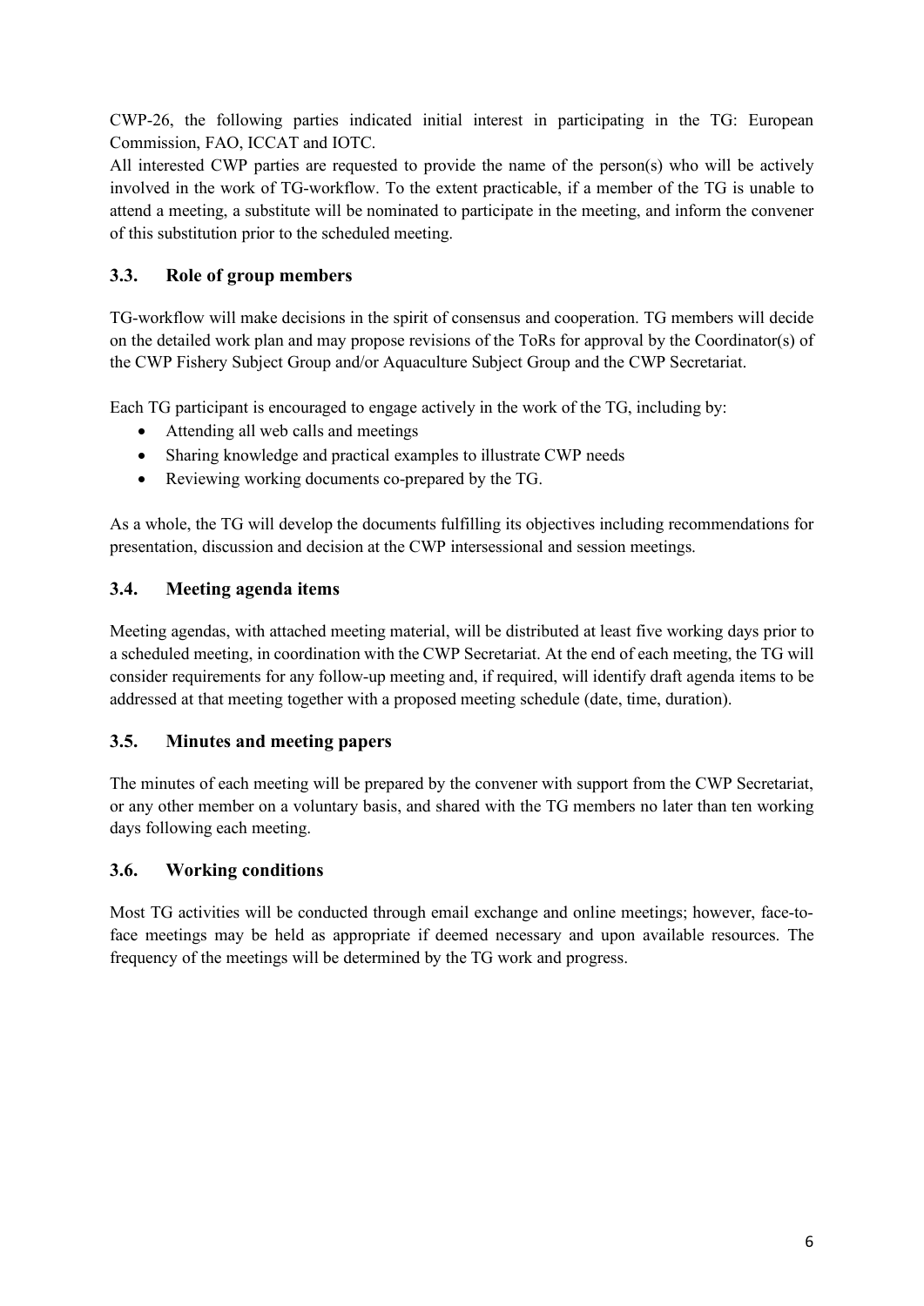CWP-26, the following parties indicated initial interest in participating in the TG: European Commission, FAO, ICCAT and IOTC.

All interested CWP parties are requested to provide the name of the person(s) who will be actively involved in the work of TG-workflow. To the extent practicable, if a member of the TG is unable to attend a meeting, a substitute will be nominated to participate in the meeting, and inform the convener of this substitution prior to the scheduled meeting.

### **3.3. Role of group members**

TG-workflow will make decisions in the spirit of consensus and cooperation. TG members will decide on the detailed work plan and may propose revisions of the ToRs for approval by the Coordinator(s) of the CWP Fishery Subject Group and/or Aquaculture Subject Group and the CWP Secretariat.

Each TG participant is encouraged to engage actively in the work of the TG, including by:

- Attending all web calls and meetings
- Sharing knowledge and practical examples to illustrate CWP needs
- Reviewing working documents co-prepared by the TG.

As a whole, the TG will develop the documents fulfilling its objectives including recommendations for presentation, discussion and decision at the CWP intersessional and session meetings.

### **3.4. Meeting agenda items**

Meeting agendas, with attached meeting material, will be distributed at least five working days prior to a scheduled meeting, in coordination with the CWP Secretariat. At the end of each meeting, the TG will consider requirements for any follow-up meeting and, if required, will identify draft agenda items to be addressed at that meeting together with a proposed meeting schedule (date, time, duration).

### **3.5. Minutes and meeting papers**

The minutes of each meeting will be prepared by the convener with support from the CWP Secretariat, or any other member on a voluntary basis, and shared with the TG members no later than ten working days following each meeting.

#### **3.6. Working conditions**

Most TG activities will be conducted through email exchange and online meetings; however, face-toface meetings may be held as appropriate if deemed necessary and upon available resources. The frequency of the meetings will be determined by the TG work and progress.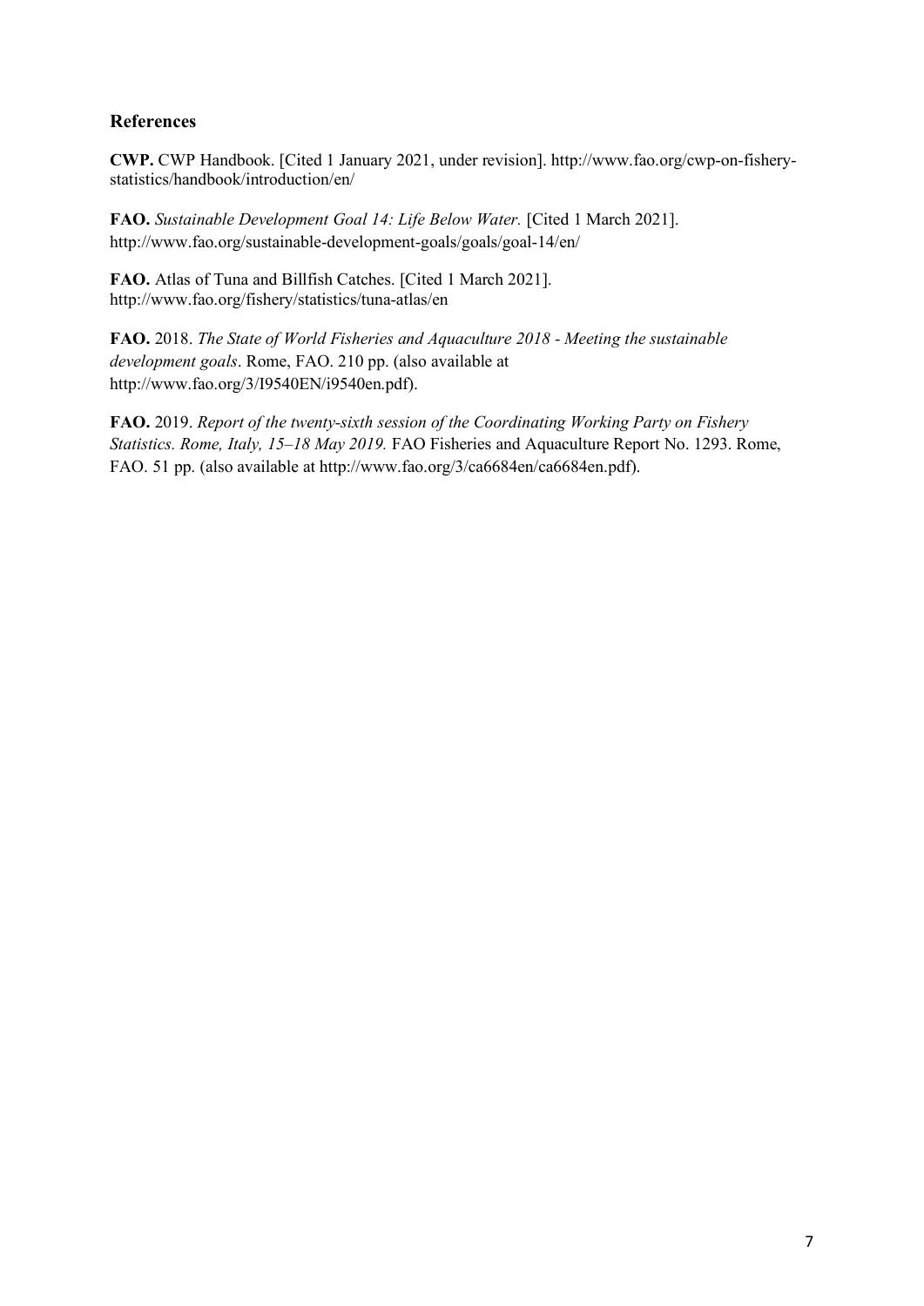### **References**

**CWP.** CWP Handbook. [Cited 1 January 2021, under revision]. http://www.fao.org/cwp-on-fisherystatistics/handbook/introduction/en/

**FAO.** *Sustainable Development Goal 14: Life Below Water.* [Cited 1 March 2021]. http://www.fao.org/sustainable-development-goals/goals/goal-14/en/

**FAO.** Atlas of Tuna and Billfish Catches. [Cited 1 March 2021]. http://www.fao.org/fishery/statistics/tuna-atlas/en

**FAO.** 2018. *The State of World Fisheries and Aquaculture 2018 - Meeting the sustainable development goals*. Rome, FAO. 210 pp. (also available at http://www.fao.org/3/I9540EN/i9540en.pdf).

**FAO.** 2019. *Report of the twenty-sixth session of the Coordinating Working Party on Fishery Statistics. Rome, Italy, 15–18 May 2019.* FAO Fisheries and Aquaculture Report No. 1293. Rome, FAO. 51 pp. (also available at http://www.fao.org/3/ca6684en/ca6684en.pdf).